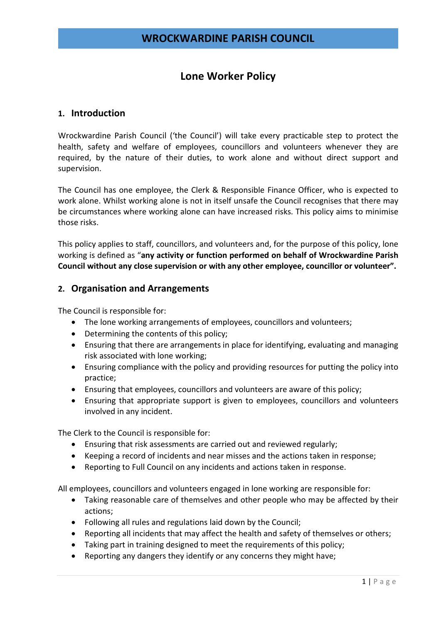# Lone Worker Policy

### 1. Introduction

Wrockwardine Parish Council ('the Council') will take every practicable step to protect the health, safety and welfare of employees, councillors and volunteers whenever they are required, by the nature of their duties, to work alone and without direct support and supervision.

The Council has one employee, the Clerk & Responsible Finance Officer, who is expected to work alone. Whilst working alone is not in itself unsafe the Council recognises that there may be circumstances where working alone can have increased risks. This policy aims to minimise those risks.

This policy applies to staff, councillors, and volunteers and, for the purpose of this policy, lone working is defined as "any activity or function performed on behalf of Wrockwardine Parish Council without any close supervision or with any other employee, councillor or volunteer".

### 2. Organisation and Arrangements

The Council is responsible for:

- The lone working arrangements of employees, councillors and volunteers;
- Determining the contents of this policy;
- Ensuring that there are arrangements in place for identifying, evaluating and managing risk associated with lone working;
- Ensuring compliance with the policy and providing resources for putting the policy into practice;
- Ensuring that employees, councillors and volunteers are aware of this policy;
- Ensuring that appropriate support is given to employees, councillors and volunteers involved in any incident.

The Clerk to the Council is responsible for:

- Ensuring that risk assessments are carried out and reviewed regularly;
- Keeping a record of incidents and near misses and the actions taken in response;
- Reporting to Full Council on any incidents and actions taken in response.

All employees, councillors and volunteers engaged in lone working are responsible for:

- Taking reasonable care of themselves and other people who may be affected by their actions;
- Following all rules and regulations laid down by the Council;
- Reporting all incidents that may affect the health and safety of themselves or others;
- Taking part in training designed to meet the requirements of this policy;
- Reporting any dangers they identify or any concerns they might have;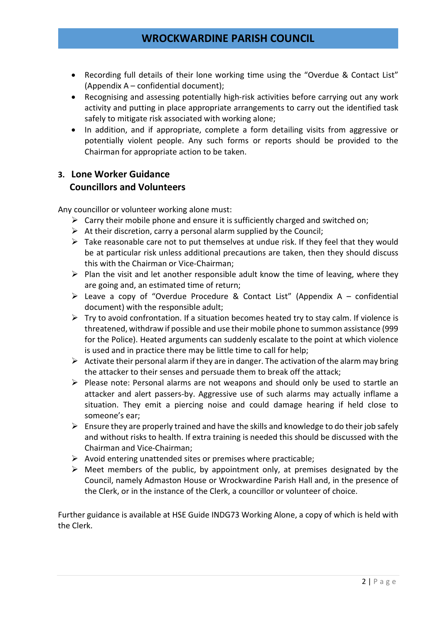- Recording full details of their lone working time using the "Overdue & Contact List" (Appendix A – confidential document);
- Recognising and assessing potentially high-risk activities before carrying out any work activity and putting in place appropriate arrangements to carry out the identified task safely to mitigate risk associated with working alone;
- In addition, and if appropriate, complete a form detailing visits from aggressive or potentially violent people. Any such forms or reports should be provided to the Chairman for appropriate action to be taken.

## 3. Lone Worker Guidance Councillors and Volunteers

Any councillor or volunteer working alone must:

- $\triangleright$  Carry their mobile phone and ensure it is sufficiently charged and switched on;
- $\triangleright$  At their discretion, carry a personal alarm supplied by the Council;
- $\triangleright$  Take reasonable care not to put themselves at undue risk. If they feel that they would be at particular risk unless additional precautions are taken, then they should discuss this with the Chairman or Vice-Chairman;
- $\triangleright$  Plan the visit and let another responsible adult know the time of leaving, where they are going and, an estimated time of return;
- E Leave a copy of "Overdue Procedure & Contact List" (Appendix  $A -$  confidential document) with the responsible adult;
- $\triangleright$  Try to avoid confrontation. If a situation becomes heated try to stay calm. If violence is threatened, withdraw if possible and use their mobile phone to summon assistance (999 for the Police). Heated arguments can suddenly escalate to the point at which violence is used and in practice there may be little time to call for help;
- $\triangleright$  Activate their personal alarm if they are in danger. The activation of the alarm may bring the attacker to their senses and persuade them to break off the attack;
- $\triangleright$  Please note: Personal alarms are not weapons and should only be used to startle an attacker and alert passers-by. Aggressive use of such alarms may actually inflame a situation. They emit a piercing noise and could damage hearing if held close to someone's ear;
- $\triangleright$  Ensure they are properly trained and have the skills and knowledge to do their job safely and without risks to health. If extra training is needed this should be discussed with the Chairman and Vice-Chairman;
- $\triangleright$  Avoid entering unattended sites or premises where practicable;
- $\triangleright$  Meet members of the public, by appointment only, at premises designated by the Council, namely Admaston House or Wrockwardine Parish Hall and, in the presence of the Clerk, or in the instance of the Clerk, a councillor or volunteer of choice.

Further guidance is available at HSE Guide INDG73 Working Alone, a copy of which is held with the Clerk.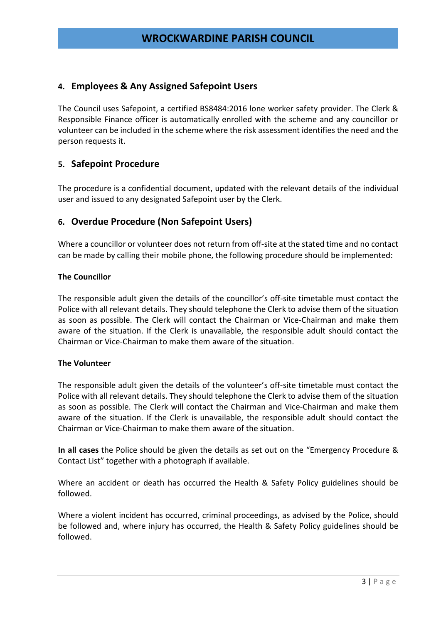## 4. Employees & Any Assigned Safepoint Users

The Council uses Safepoint, a certified BS8484:2016 lone worker safety provider. The Clerk & Responsible Finance officer is automatically enrolled with the scheme and any councillor or volunteer can be included in the scheme where the risk assessment identifies the need and the person requests it.

## 5. Safepoint Procedure

The procedure is a confidential document, updated with the relevant details of the individual user and issued to any designated Safepoint user by the Clerk.

## 6. Overdue Procedure (Non Safepoint Users)

Where a councillor or volunteer does not return from off-site at the stated time and no contact can be made by calling their mobile phone, the following procedure should be implemented:

### The Councillor

The responsible adult given the details of the councillor's off-site timetable must contact the Police with all relevant details. They should telephone the Clerk to advise them of the situation as soon as possible. The Clerk will contact the Chairman or Vice-Chairman and make them aware of the situation. If the Clerk is unavailable, the responsible adult should contact the Chairman or Vice-Chairman to make them aware of the situation.

### The Volunteer

The responsible adult given the details of the volunteer's off-site timetable must contact the Police with all relevant details. They should telephone the Clerk to advise them of the situation as soon as possible. The Clerk will contact the Chairman and Vice-Chairman and make them aware of the situation. If the Clerk is unavailable, the responsible adult should contact the Chairman or Vice-Chairman to make them aware of the situation.

In all cases the Police should be given the details as set out on the "Emergency Procedure & Contact List" together with a photograph if available.

Where an accident or death has occurred the Health & Safety Policy guidelines should be followed.

Where a violent incident has occurred, criminal proceedings, as advised by the Police, should be followed and, where injury has occurred, the Health & Safety Policy guidelines should be followed.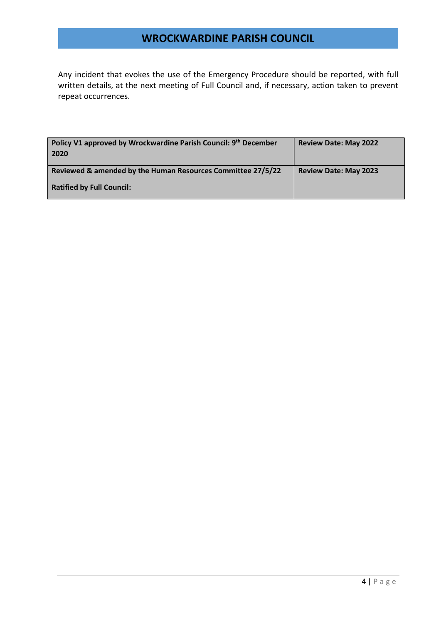Any incident that evokes the use of the Emergency Procedure should be reported, with full written details, at the next meeting of Full Council and, if necessary, action taken to prevent repeat occurrences.

| Policy V1 approved by Wrockwardine Parish Council: 9 <sup>th</sup> December<br>  2020 | <b>Review Date: May 2022</b> |
|---------------------------------------------------------------------------------------|------------------------------|
| Reviewed & amended by the Human Resources Committee 27/5/22                           | <b>Review Date: May 2023</b> |
| <b>Ratified by Full Council:</b>                                                      |                              |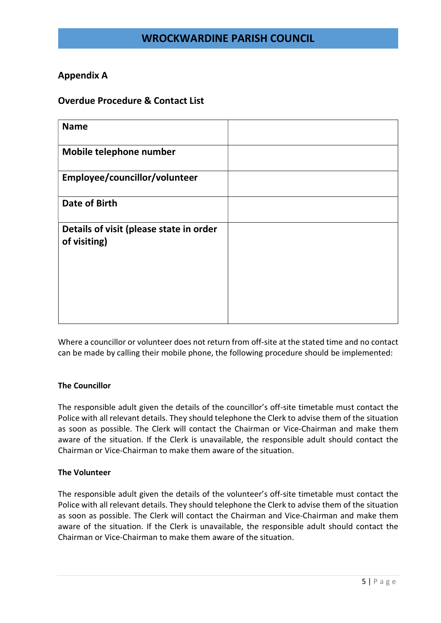### Appendix A

### Overdue Procedure & Contact List

| <b>Name</b>                                             |  |
|---------------------------------------------------------|--|
| Mobile telephone number                                 |  |
| Employee/councillor/volunteer                           |  |
| <b>Date of Birth</b>                                    |  |
| Details of visit (please state in order<br>of visiting) |  |
|                                                         |  |

Where a councillor or volunteer does not return from off-site at the stated time and no contact can be made by calling their mobile phone, the following procedure should be implemented:

### The Councillor

The responsible adult given the details of the councillor's off-site timetable must contact the Police with all relevant details. They should telephone the Clerk to advise them of the situation as soon as possible. The Clerk will contact the Chairman or Vice-Chairman and make them aware of the situation. If the Clerk is unavailable, the responsible adult should contact the Chairman or Vice-Chairman to make them aware of the situation.

### The Volunteer

The responsible adult given the details of the volunteer's off-site timetable must contact the Police with all relevant details. They should telephone the Clerk to advise them of the situation as soon as possible. The Clerk will contact the Chairman and Vice-Chairman and make them aware of the situation. If the Clerk is unavailable, the responsible adult should contact the Chairman or Vice-Chairman to make them aware of the situation.